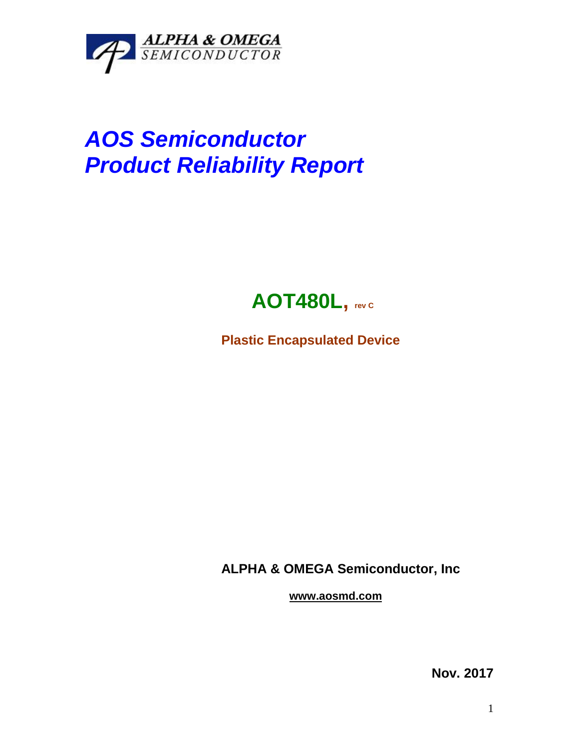

## *AOS Semiconductor Product Reliability Report*



**Plastic Encapsulated Device**

**ALPHA & OMEGA Semiconductor, Inc**

**www.aosmd.com**

**Nov. 2017**